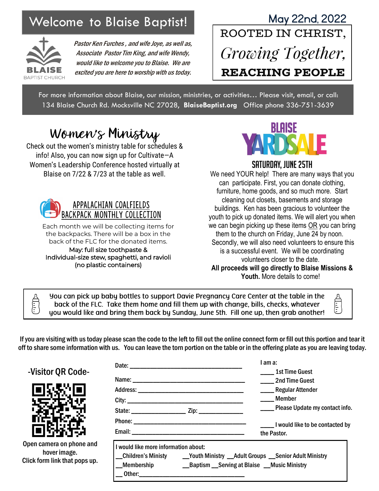

Pastor Ken Furches , and wife Joye, as well as, Associate Pastor Tim King, and wife Wendy, would like to welcome you to Blaise. We are excited you are here to worship with us today.

## Velcome to Blaise Baptist! May 22nd, 2022<br>ROOTED IN CHRIST, Growing Together, **REACHING PEOPLE**

For more information about Blaise, our mission, ministries, or activities… Please visit, email, or call: 134 Blaise Church Rd. Mocksville NC 27028, **BlaiseBaptist.org** Office phone 336-751-3639

## Women's Ministry

Check out the women's ministry table for schedules & info! Also, you can now sign up for Cultivate—A Women's Leadership Conference hosted virtually at Blaise on 7/22 & 7/23 at the table as well.



Each month we will be collecting items for the backpacks. There will be a box in the back of the FLC for the donated items. May: full size toothpaste & Individual-size stew, spaghetti, and ravioli (no plastic containers)



#### Saturday, June 25th

We need YOUR help! There are many ways that you can participate. First, you can donate clothing, furniture, home goods, and so much more. Start cleaning out closets, basements and storage buildings. Ken has been gracious to volunteer the youth to pick up donated items. We will alert you when we can begin picking up these items OR you can bring them to the church on Friday, June 24 by noon. Secondly, we will also need volunteers to ensure this is a successful event. We will be coordinating volunteers closer to the date. **All proceeds will go directly to Blaise Missions & Youth.** More details to come!

you can pick up baby bottles to support Davie Pregnancy Care Center at the table in the back of the FLC. Take them home and fill them up with change, bills, checks, whatever you would like and bring them back by Sunday, June 5th. Fill one up, then grab another!

If you are visiting with us today please scan the code to the left to fill out the online connect form or fill out this portion and tear it off to share some information with us. You can leave the torn portion on the table or in the offering plate as you are leaving today.

|                                          |                                      |                                                | I am a:                                                                        |  |
|------------------------------------------|--------------------------------------|------------------------------------------------|--------------------------------------------------------------------------------|--|
| -Visitor QR Code-                        |                                      |                                                | <b>1st Time Guest</b><br>2nd Time Guest                                        |  |
|                                          |                                      |                                                | ____Regular Attender                                                           |  |
|                                          |                                      |                                                | Member                                                                         |  |
|                                          |                                      |                                                | ____ Please Update my contact info.                                            |  |
|                                          |                                      |                                                | I would like to be contacted by                                                |  |
|                                          |                                      |                                                | the Pastor.                                                                    |  |
| Open camera on phone and<br>hover image. | I would like more information about: |                                                | _Children's Ministy ____ Youth Ministry __Adult Groups __Senior Adult Ministry |  |
| Click form link that pops up.            | _Membership                          | __Baptism __Serving at Blaise __Music Ministry |                                                                                |  |
|                                          |                                      |                                                |                                                                                |  |